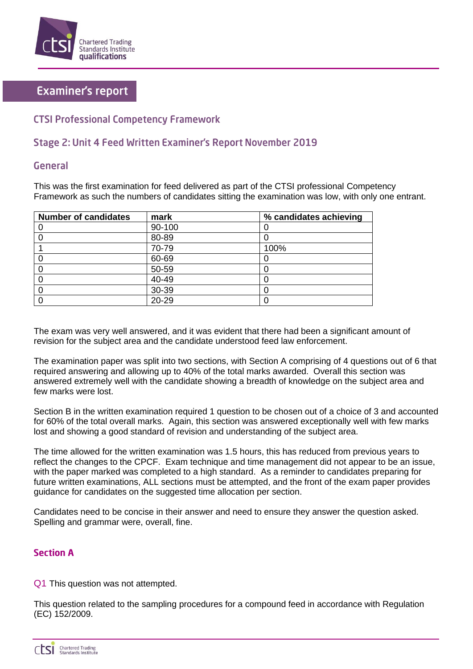

# **Examiner's report**

### **CTSI Professional Competency Framework**

## Stage 2: Unit 4 Feed Written Examiner's Report November 2019

### General

This was the first examination for feed delivered as part of the CTSI professional Competency Framework as such the numbers of candidates sitting the examination was low, with only one entrant.

| <b>Number of candidates</b> | mark   | % candidates achieving |
|-----------------------------|--------|------------------------|
|                             | 90-100 |                        |
|                             | 80-89  |                        |
|                             | 70-79  | 100%                   |
|                             | 60-69  |                        |
|                             | 50-59  |                        |
|                             | 40-49  |                        |
|                             | 30-39  |                        |
|                             | 20-29  |                        |

The exam was very well answered, and it was evident that there had been a significant amount of revision for the subject area and the candidate understood feed law enforcement.

The examination paper was split into two sections, with Section A comprising of 4 questions out of 6 that required answering and allowing up to 40% of the total marks awarded. Overall this section was answered extremely well with the candidate showing a breadth of knowledge on the subject area and few marks were lost.

Section B in the written examination required 1 question to be chosen out of a choice of 3 and accounted for 60% of the total overall marks. Again, this section was answered exceptionally well with few marks lost and showing a good standard of revision and understanding of the subject area.

The time allowed for the written examination was 1.5 hours, this has reduced from previous years to reflect the changes to the CPCF. Exam technique and time management did not appear to be an issue, with the paper marked was completed to a high standard. As a reminder to candidates preparing for future written examinations, ALL sections must be attempted, and the front of the exam paper provides guidance for candidates on the suggested time allocation per section.

Candidates need to be concise in their answer and need to ensure they answer the question asked. Spelling and grammar were, overall, fine.

### **Section A**

Q1 This question was not attempted.

This question related to the sampling procedures for a compound feed in accordance with Regulation (EC) 152/2009.